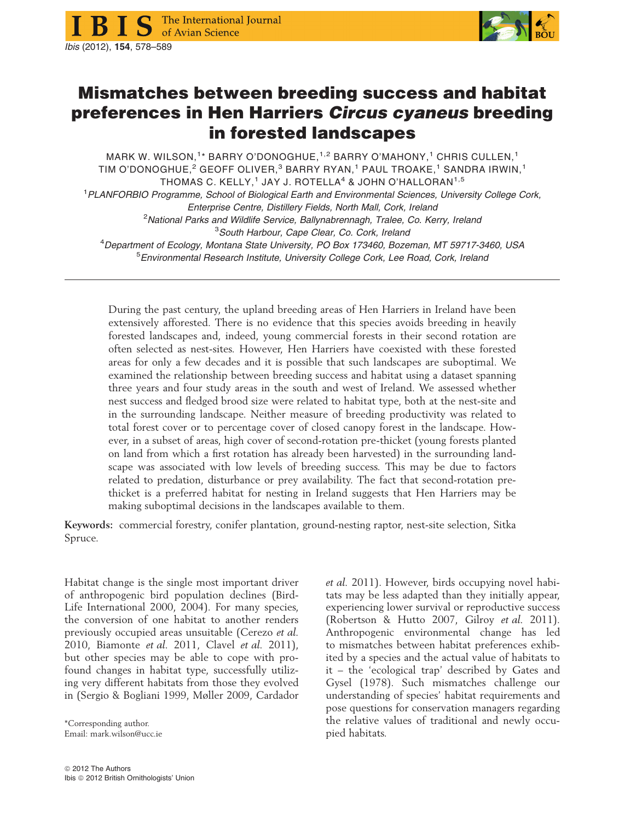

# Mismatches between breeding success and habitat preferences in Hen Harriers Circus cyaneus breeding in forested landscapes

 $M$ ARK W. WILSON, $^{1*}$  BARRY O'DONOGHUE, $^{1,2}$  BARRY O'MAHONY, $^{1}$  CHRIS CULLEN, $^{1}$ TIM O'DONOGHUE,<sup>2</sup> GEOFF OLIVER,<sup>3</sup> BARRY RYAN,<sup>1</sup> PAUL TROAKE,<sup>1</sup> SANDRA IRWIN,<sup>1</sup> THOMAS C. KELLY,<sup>1</sup> JAY J. ROTELLA<sup>4</sup> & JOHN O'HALLORAN<sup>1,5</sup> <sup>1</sup>PLANFORBIO Programme, School of Biological Earth and Environmental Sciences, University College Cork, Enterprise Centre, Distillery Fields, North Mall, Cork, Ireland <sup>2</sup>National Parks and Wildlife Service, Ballynabrennagh, Tralee, Co. Kerry, Ireland <sup>3</sup> South Harbour, Cape Clear, Co. Cork, Ireland 4 Department of Ecology, Montana State University, PO Box 173460, Bozeman, MT 59717-3460, USA <sup>5</sup> Environmental Research Institute, University College Cork, Lee Road, Cork, Ireland

During the past century, the upland breeding areas of Hen Harriers in Ireland have been extensively afforested. There is no evidence that this species avoids breeding in heavily forested landscapes and, indeed, young commercial forests in their second rotation are often selected as nest-sites. However, Hen Harriers have coexisted with these forested areas for only a few decades and it is possible that such landscapes are suboptimal. We examined the relationship between breeding success and habitat using a dataset spanning three years and four study areas in the south and west of Ireland. We assessed whether nest success and fledged brood size were related to habitat type, both at the nest-site and in the surrounding landscape. Neither measure of breeding productivity was related to total forest cover or to percentage cover of closed canopy forest in the landscape. However, in a subset of areas, high cover of second-rotation pre-thicket (young forests planted on land from which a first rotation has already been harvested) in the surrounding landscape was associated with low levels of breeding success. This may be due to factors related to predation, disturbance or prey availability. The fact that second-rotation prethicket is a preferred habitat for nesting in Ireland suggests that Hen Harriers may be making suboptimal decisions in the landscapes available to them.

Keywords: commercial forestry, conifer plantation, ground-nesting raptor, nest-site selection, Sitka Spruce.

Habitat change is the single most important driver of anthropogenic bird population declines (Bird-Life International 2000, 2004). For many species, the conversion of one habitat to another renders previously occupied areas unsuitable (Cerezo et al. 2010, Biamonte et al. 2011, Clavel et al. 2011), but other species may be able to cope with profound changes in habitat type, successfully utilizing very different habitats from those they evolved in (Sergio & Bogliani 1999, Møller 2009, Cardador

\*Corresponding author. Email: mark.wilson@ucc.ie

 $@$  2012 The Authors Ibis © 2012 British Ornithologists' Union et al. 2011). However, birds occupying novel habitats may be less adapted than they initially appear, experiencing lower survival or reproductive success (Robertson & Hutto 2007, Gilroy et al. 2011). Anthropogenic environmental change has led to mismatches between habitat preferences exhibited by a species and the actual value of habitats to it – the 'ecological trap' described by Gates and Gysel (1978). Such mismatches challenge our understanding of species' habitat requirements and pose questions for conservation managers regarding the relative values of traditional and newly occupied habitats.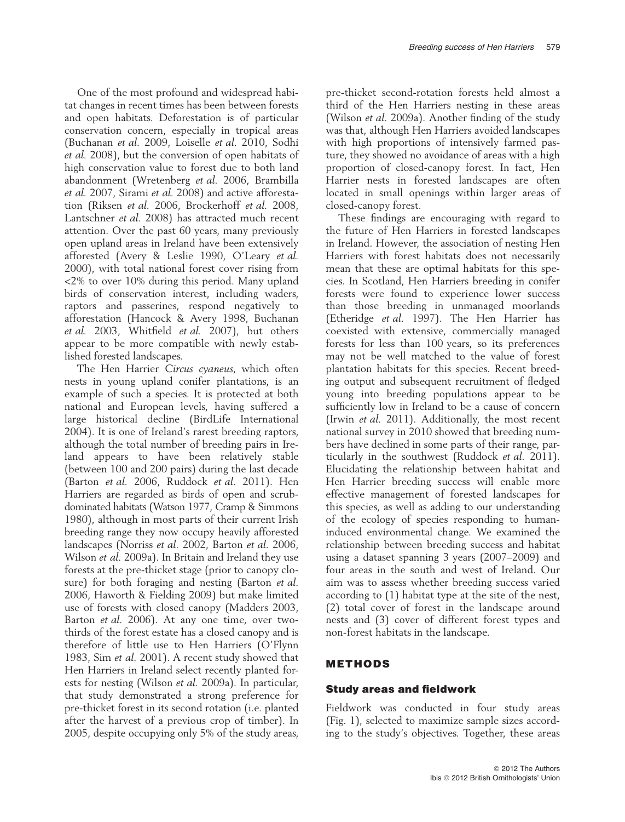One of the most profound and widespread habitat changes in recent times has been between forests and open habitats. Deforestation is of particular conservation concern, especially in tropical areas (Buchanan et al. 2009, Loiselle et al. 2010, Sodhi et al. 2008), but the conversion of open habitats of high conservation value to forest due to both land abandonment (Wretenberg et al. 2006, Brambilla et al. 2007, Sirami et al. 2008) and active afforestation (Riksen et al. 2006, Brockerhoff et al. 2008,

Lantschner et al. 2008) has attracted much recent attention. Over the past 60 years, many previously open upland areas in Ireland have been extensively afforested (Avery & Leslie 1990, O'Leary et al. 2000), with total national forest cover rising from <2% to over 10% during this period. Many upland birds of conservation interest, including waders, raptors and passerines, respond negatively to afforestation (Hancock & Avery 1998, Buchanan et al. 2003, Whitfield et al. 2007), but others appear to be more compatible with newly established forested landscapes.

The Hen Harrier Circus cyaneus, which often nests in young upland conifer plantations, is an example of such a species. It is protected at both national and European levels, having suffered a large historical decline (BirdLife International 2004). It is one of Ireland's rarest breeding raptors, although the total number of breeding pairs in Ireland appears to have been relatively stable (between 100 and 200 pairs) during the last decade (Barton et al. 2006, Ruddock et al. 2011). Hen Harriers are regarded as birds of open and scrubdominated habitats (Watson 1977, Cramp & Simmons 1980), although in most parts of their current Irish breeding range they now occupy heavily afforested landscapes (Norriss et al. 2002, Barton et al. 2006, Wilson et al. 2009a). In Britain and Ireland they use forests at the pre-thicket stage (prior to canopy closure) for both foraging and nesting (Barton *et al.* 2006, Haworth & Fielding 2009) but make limited use of forests with closed canopy (Madders 2003, Barton et al. 2006). At any one time, over twothirds of the forest estate has a closed canopy and is therefore of little use to Hen Harriers (O'Flynn 1983, Sim et al. 2001). A recent study showed that Hen Harriers in Ireland select recently planted forests for nesting (Wilson et al. 2009a). In particular, that study demonstrated a strong preference for pre-thicket forest in its second rotation (i.e. planted after the harvest of a previous crop of timber). In 2005, despite occupying only 5% of the study areas,

pre-thicket second-rotation forests held almost a third of the Hen Harriers nesting in these areas (Wilson et al. 2009a). Another finding of the study was that, although Hen Harriers avoided landscapes with high proportions of intensively farmed pasture, they showed no avoidance of areas with a high proportion of closed-canopy forest. In fact, Hen Harrier nests in forested landscapes are often located in small openings within larger areas of closed-canopy forest.

These findings are encouraging with regard to the future of Hen Harriers in forested landscapes in Ireland. However, the association of nesting Hen Harriers with forest habitats does not necessarily mean that these are optimal habitats for this species. In Scotland, Hen Harriers breeding in conifer forests were found to experience lower success than those breeding in unmanaged moorlands (Etheridge et al. 1997). The Hen Harrier has coexisted with extensive, commercially managed forests for less than 100 years, so its preferences may not be well matched to the value of forest plantation habitats for this species. Recent breeding output and subsequent recruitment of fledged young into breeding populations appear to be sufficiently low in Ireland to be a cause of concern (Irwin et al. 2011). Additionally, the most recent national survey in 2010 showed that breeding numbers have declined in some parts of their range, particularly in the southwest (Ruddock et al. 2011). Elucidating the relationship between habitat and Hen Harrier breeding success will enable more effective management of forested landscapes for this species, as well as adding to our understanding of the ecology of species responding to humaninduced environmental change. We examined the relationship between breeding success and habitat using a dataset spanning 3 years (2007–2009) and four areas in the south and west of Ireland. Our aim was to assess whether breeding success varied according to (1) habitat type at the site of the nest, (2) total cover of forest in the landscape around nests and (3) cover of different forest types and non-forest habitats in the landscape.

## METHODS

## Study areas and fieldwork

Fieldwork was conducted in four study areas (Fig. 1), selected to maximize sample sizes according to the study's objectives. Together, these areas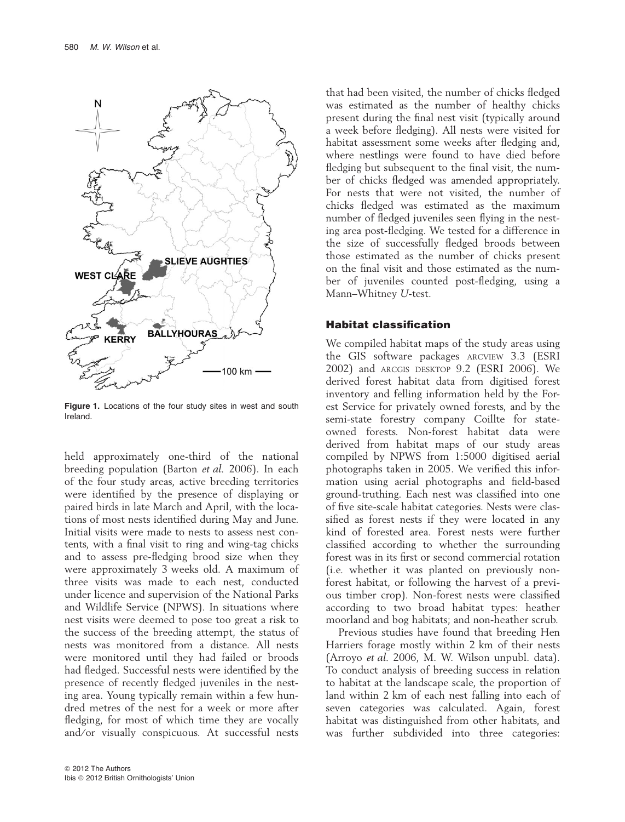

Figure 1. Locations of the four study sites in west and south Ireland.

held approximately one-third of the national breeding population (Barton et al. 2006). In each of the four study areas, active breeding territories were identified by the presence of displaying or paired birds in late March and April, with the locations of most nests identified during May and June. Initial visits were made to nests to assess nest contents, with a final visit to ring and wing-tag chicks and to assess pre-fledging brood size when they were approximately 3 weeks old. A maximum of three visits was made to each nest, conducted under licence and supervision of the National Parks and Wildlife Service (NPWS). In situations where nest visits were deemed to pose too great a risk to the success of the breeding attempt, the status of nests was monitored from a distance. All nests were monitored until they had failed or broods had fledged. Successful nests were identified by the presence of recently fledged juveniles in the nesting area. Young typically remain within a few hundred metres of the nest for a week or more after fledging, for most of which time they are vocally and/or visually conspicuous. At successful nests that had been visited, the number of chicks fledged was estimated as the number of healthy chicks present during the final nest visit (typically around a week before fledging). All nests were visited for habitat assessment some weeks after fledging and, where nestlings were found to have died before fledging but subsequent to the final visit, the number of chicks fledged was amended appropriately. For nests that were not visited, the number of chicks fledged was estimated as the maximum number of fledged juveniles seen flying in the nesting area post-fledging. We tested for a difference in the size of successfully fledged broods between those estimated as the number of chicks present on the final visit and those estimated as the number of juveniles counted post-fledging, using a Mann–Whitney U-test.

### Habitat classification

We compiled habitat maps of the study areas using the GIS software packages ARCVIEW 3.3 (ESRI 2002) and ARCGIS DESKTOP 9.2 (ESRI 2006). We derived forest habitat data from digitised forest inventory and felling information held by the Forest Service for privately owned forests, and by the semi-state forestry company Coillte for stateowned forests. Non-forest habitat data were derived from habitat maps of our study areas compiled by NPWS from 1:5000 digitised aerial photographs taken in 2005. We verified this information using aerial photographs and field-based ground-truthing. Each nest was classified into one of five site-scale habitat categories. Nests were classified as forest nests if they were located in any kind of forested area. Forest nests were further classified according to whether the surrounding forest was in its first or second commercial rotation (i.e. whether it was planted on previously nonforest habitat, or following the harvest of a previous timber crop). Non-forest nests were classified according to two broad habitat types: heather moorland and bog habitats; and non-heather scrub.

Previous studies have found that breeding Hen Harriers forage mostly within 2 km of their nests (Arroyo et al. 2006, M. W. Wilson unpubl. data). To conduct analysis of breeding success in relation to habitat at the landscape scale, the proportion of land within 2 km of each nest falling into each of seven categories was calculated. Again, forest habitat was distinguished from other habitats, and was further subdivided into three categories: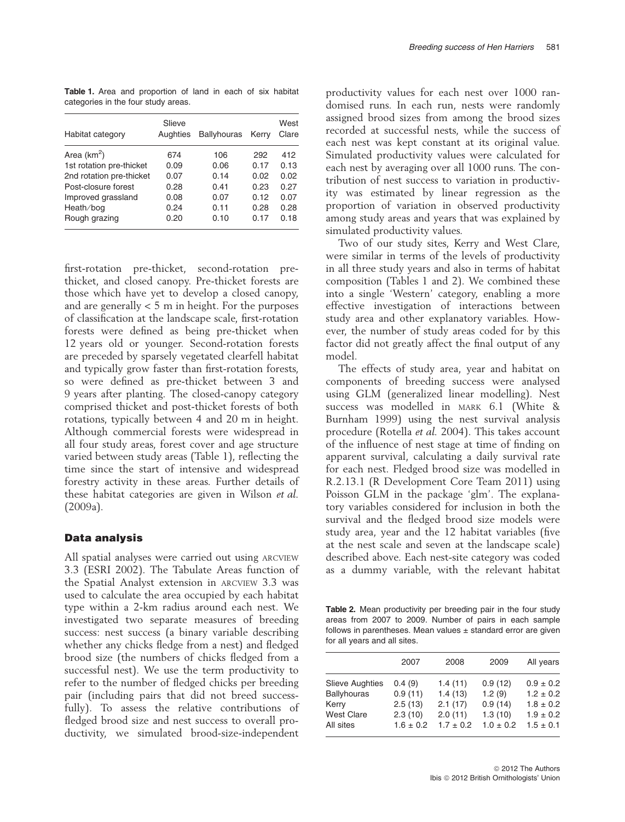Table 1. Area and proportion of land in each of six habitat categories in the four study areas.

| Habitat category         | Slieve<br>Aughties | <b>Ballyhouras</b> | Kerry | West<br>Clare |
|--------------------------|--------------------|--------------------|-------|---------------|
| Area $(km^2)$            | 674                | 106                | 292   | 412           |
| 1st rotation pre-thicket | 0.09               | 0.06               | 0.17  | 0.13          |
| 2nd rotation pre-thicket | 0.07               | 0.14               | 0.02  | 0.02          |
| Post-closure forest      | 0.28               | 0.41               | 0.23  | 0.27          |
| Improved grassland       | 0.08               | 0.07               | 0.12  | 0.07          |
| Heath/bog                | 0.24               | 0.11               | 0.28  | 0.28          |
| Rough grazing            | 0.20               | 0.10               | 0.17  | 0.18          |

first-rotation pre-thicket, second-rotation prethicket, and closed canopy. Pre-thicket forests are those which have yet to develop a closed canopy, and are generally  $< 5$  m in height. For the purposes of classification at the landscape scale, first-rotation forests were defined as being pre-thicket when 12 years old or younger. Second-rotation forests are preceded by sparsely vegetated clearfell habitat and typically grow faster than first-rotation forests, so were defined as pre-thicket between 3 and 9 years after planting. The closed-canopy category comprised thicket and post-thicket forests of both rotations, typically between 4 and 20 m in height. Although commercial forests were widespread in all four study areas, forest cover and age structure varied between study areas (Table 1), reflecting the time since the start of intensive and widespread forestry activity in these areas. Further details of these habitat categories are given in Wilson et al. (2009a).

#### Data analysis

All spatial analyses were carried out using ARCVIEW 3.3 (ESRI 2002). The Tabulate Areas function of the Spatial Analyst extension in ARCVIEW 3.3 was used to calculate the area occupied by each habitat type within a 2-km radius around each nest. We investigated two separate measures of breeding success: nest success (a binary variable describing whether any chicks fledge from a nest) and fledged brood size (the numbers of chicks fledged from a successful nest). We use the term productivity to refer to the number of fledged chicks per breeding pair (including pairs that did not breed successfully). To assess the relative contributions of fledged brood size and nest success to overall productivity, we simulated brood-size-independent productivity values for each nest over 1000 randomised runs. In each run, nests were randomly assigned brood sizes from among the brood sizes recorded at successful nests, while the success of each nest was kept constant at its original value. Simulated productivity values were calculated for each nest by averaging over all 1000 runs. The contribution of nest success to variation in productivity was estimated by linear regression as the proportion of variation in observed productivity among study areas and years that was explained by simulated productivity values.

Two of our study sites, Kerry and West Clare, were similar in terms of the levels of productivity in all three study years and also in terms of habitat composition (Tables 1 and 2). We combined these into a single 'Western' category, enabling a more effective investigation of interactions between study area and other explanatory variables. However, the number of study areas coded for by this factor did not greatly affect the final output of any model.

The effects of study area, year and habitat on components of breeding success were analysed using GLM (generalized linear modelling). Nest success was modelled in MARK 6.1 (White & Burnham 1999) using the nest survival analysis procedure (Rotella et al. 2004). This takes account of the influence of nest stage at time of finding on apparent survival, calculating a daily survival rate for each nest. Fledged brood size was modelled in R.2.13.1 (R Development Core Team 2011) using Poisson GLM in the package 'glm'. The explanatory variables considered for inclusion in both the survival and the fledged brood size models were study area, year and the 12 habitat variables (five at the nest scale and seven at the landscape scale) described above. Each nest-site category was coded as a dummy variable, with the relevant habitat

Table 2. Mean productivity per breeding pair in the four study areas from 2007 to 2009. Number of pairs in each sample follows in parentheses. Mean values  $\pm$  standard error are given for all years and all sites.

|                                                                                         | 2007                                                     | 2008                                                      | 2009                                                     | All years                                                                         |
|-----------------------------------------------------------------------------------------|----------------------------------------------------------|-----------------------------------------------------------|----------------------------------------------------------|-----------------------------------------------------------------------------------|
| <b>Slieve Aughties</b><br><b>Ballyhouras</b><br>Kerry<br><b>West Clare</b><br>All sites | 0.4(9)<br>0.9(11)<br>2.5(13)<br>2.3(10)<br>$1.6 \pm 0.2$ | 1.4(11)<br>1.4(13)<br>2.1(17)<br>2.0(11)<br>$1.7 \pm 0.2$ | 0.9(12)<br>1.2(9)<br>0.9(14)<br>1.3(10)<br>$1.0 \pm 0.2$ | $0.9 \pm 0.2$<br>$1.2 \pm 0.2$<br>$1.8 \pm 0.2$<br>$1.9 \pm 0.2$<br>$1.5 \pm 0.1$ |
|                                                                                         |                                                          |                                                           |                                                          |                                                                                   |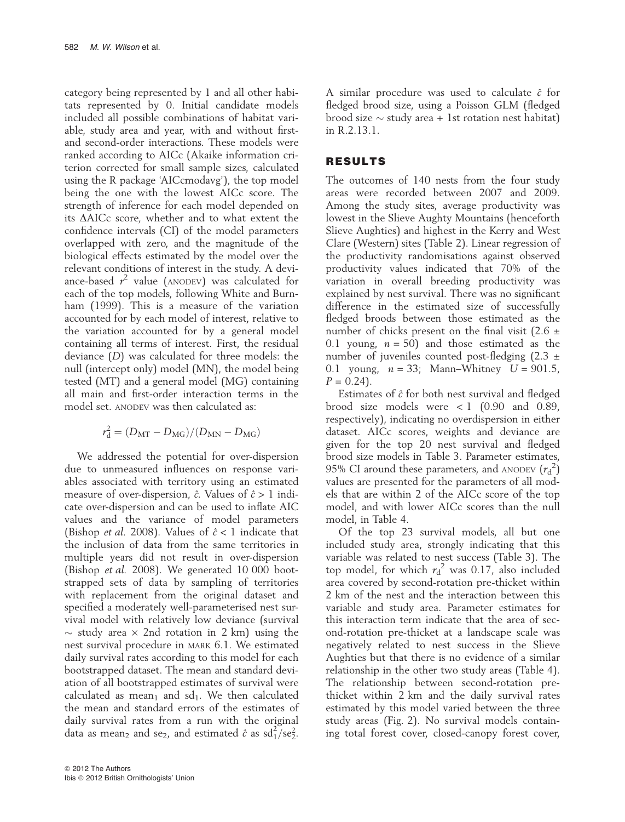category being represented by 1 and all other habitats represented by 0. Initial candidate models included all possible combinations of habitat variable, study area and year, with and without firstand second-order interactions. These models were ranked according to AICc (Akaike information criterion corrected for small sample sizes, calculated using the R package 'AICcmodavg'), the top model being the one with the lowest AICc score. The strength of inference for each model depended on its  $\Delta AICc$  score, whether and to what extent the confidence intervals (CI) of the model parameters overlapped with zero, and the magnitude of the biological effects estimated by the model over the relevant conditions of interest in the study. A deviance-based  $r^2$  value (ANODEV) was calculated for each of the top models, following White and Burnham (1999). This is a measure of the variation accounted for by each model of interest, relative to the variation accounted for by a general model containing all terms of interest. First, the residual deviance (D) was calculated for three models: the null (intercept only) model (MN), the model being tested (MT) and a general model (MG) containing all main and first-order interaction terms in the model set. ANODEV was then calculated as:

$$
r_{\rm d}^2 = (D_{\rm MT} - D_{\rm MG})/(D_{\rm MN} - D_{\rm MG})
$$

We addressed the potential for over-dispersion due to unmeasured influences on response variables associated with territory using an estimated measure of over-dispersion,  $\hat{c}$ . Values of  $\hat{c} > 1$  indicate over-dispersion and can be used to inflate AIC values and the variance of model parameters (Bishop et al. 2008). Values of  $\hat{c}$  < 1 indicate that the inclusion of data from the same territories in multiple years did not result in over-dispersion (Bishop et al. 2008). We generated 10 000 bootstrapped sets of data by sampling of territories with replacement from the original dataset and specified a moderately well-parameterised nest survival model with relatively low deviance (survival  $\sim$  study area  $\times$  2nd rotation in 2 km) using the nest survival procedure in MARK 6.1. We estimated daily survival rates according to this model for each bootstrapped dataset. The mean and standard deviation of all bootstrapped estimates of survival were calculated as mean<sub>1</sub> and sd<sub>1</sub>. We then calculated the mean and standard errors of the estimates of daily survival rates from a run with the original data as mean<sub>2</sub> and se<sub>2</sub>, and estimated  $\hat{c}$  as sd<sub>1</sub>/se<sub>2</sub>.

A similar procedure was used to calculate  $\hat{c}$  for fledged brood size, using a Poisson GLM (fledged brood size  $\sim$  study area + 1st rotation nest habitat) in R.2.13.1.

# RESULTS

The outcomes of 140 nests from the four study areas were recorded between 2007 and 2009. Among the study sites, average productivity was lowest in the Slieve Aughty Mountains (henceforth Slieve Aughties) and highest in the Kerry and West Clare (Western) sites (Table 2). Linear regression of the productivity randomisations against observed productivity values indicated that 70% of the variation in overall breeding productivity was explained by nest survival. There was no significant difference in the estimated size of successfully fledged broods between those estimated as the number of chicks present on the final visit (2.6  $\pm$ 0.1 young,  $n = 50$  and those estimated as the number of juveniles counted post-fledging  $(2.3 \pm$ 0.1 young,  $n = 33$ ; Mann–Whitney  $U = 901.5$ ,  $P = 0.24$ .

Estimates of  $\hat{c}$  for both nest survival and fledged brood size models were  $\langle 1 \rangle$  (0.90 and 0.89, respectively), indicating no overdispersion in either dataset. AICc scores, weights and deviance are given for the top 20 nest survival and fledged brood size models in Table 3. Parameter estimates, 95% CI around these parameters, and ANODEV  $(r_d^2)$ values are presented for the parameters of all models that are within 2 of the AICc score of the top model, and with lower AICc scores than the null model, in Table 4.

Of the top 23 survival models, all but one included study area, strongly indicating that this variable was related to nest success (Table 3). The top model, for which  $r_d^2$  was 0.17, also included area covered by second-rotation pre-thicket within 2 km of the nest and the interaction between this variable and study area. Parameter estimates for this interaction term indicate that the area of second-rotation pre-thicket at a landscape scale was negatively related to nest success in the Slieve Aughties but that there is no evidence of a similar relationship in the other two study areas (Table 4). The relationship between second-rotation prethicket within 2 km and the daily survival rates estimated by this model varied between the three study areas (Fig. 2). No survival models containing total forest cover, closed-canopy forest cover,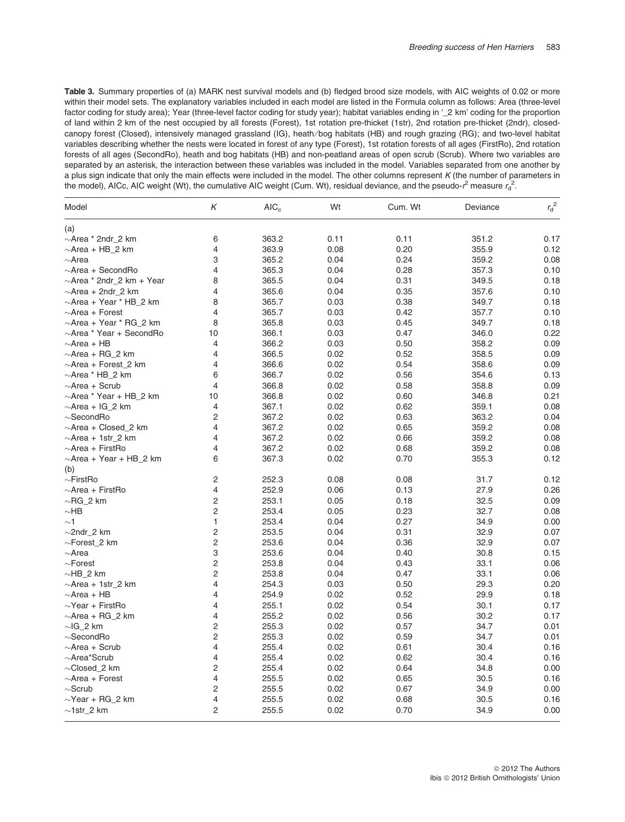Table 3. Summary properties of (a) MARK nest survival models and (b) fledged brood size models, with AIC weights of 0.02 or more within their model sets. The explanatory variables included in each model are listed in the Formula column as follows: Area (three-level factor coding for study area); Year (three-level factor coding for study year); habitat variables ending in '\_2 km' coding for the proportion of land within 2 km of the nest occupied by all forests (Forest), 1st rotation pre-thicket (1str), 2nd rotation pre-thicket (2ndr), closedcanopy forest (Closed), intensively managed grassland (IG), heath ⁄ bog habitats (HB) and rough grazing (RG); and two-level habitat variables describing whether the nests were located in forest of any type (Forest), 1st rotation forests of all ages (FirstRo), 2nd rotation forests of all ages (SecondRo), heath and bog habitats (HB) and non-peatland areas of open scrub (Scrub). Where two variables are separated by an asterisk, the interaction between these variables was included in the model. Variables separated from one another by a plus sign indicate that only the main effects were included in the model. The other columns represent  $K$  (the number of parameters in the model), AICc, AIC weight (Wt), the cumulative AIC weight (Cum. Wt), residual deviance, and the pseudo- $r^2$  measure  $r_d^2$ .

| Model                          | Κ              | AIC <sub>c</sub> | Wt   | Cum. Wt | Deviance | ${r_{\sf d}}^2$ |
|--------------------------------|----------------|------------------|------|---------|----------|-----------------|
| (a)                            |                |                  |      |         |          |                 |
| $\sim$ Area * 2ndr_2 km        | 6              | 363.2            | 0.11 | 0.11    | 351.2    | 0.17            |
| $\sim$ Area + HB_2 km          | 4              | 363.9            | 0.08 | 0.20    | 355.9    | 0.12            |
| $\sim$ Area                    | 3              | 365.2            | 0.04 | 0.24    | 359.2    | 0.08            |
| $\sim$ Area + SecondRo         | 4              | 365.3            | 0.04 | 0.28    | 357.3    | 0.10            |
| $\sim$ Area * 2ndr_2 km + Year | 8              | 365.5            | 0.04 | 0.31    | 349.5    | 0.18            |
| $\sim$ Area + 2ndr_2 km        | 4              | 365.6            | 0.04 | 0.35    | 357.6    | 0.10            |
| $\sim$ Area + Year * HB_2 km   | 8              | 365.7            | 0.03 | 0.38    | 349.7    | 0.18            |
| $\sim$ Area + Forest           | 4              | 365.7            | 0.03 | 0.42    | 357.7    | 0.10            |
| $\sim$ Area + Year $*$ RG_2 km | 8              | 365.8            | 0.03 | 0.45    | 349.7    | 0.18            |
| $\sim$ Area * Year + SecondRo  | 10             | 366.1            | 0.03 | 0.47    | 346.0    | 0.22            |
| $\sim$ Area + HB               | 4              | 366.2            | 0.03 | 0.50    | 358.2    | 0.09            |
| $\sim$ Area + RG_2 km          | 4              | 366.5            | 0.02 | 0.52    | 358.5    | 0.09            |
| $\sim$ Area + Forest_2 km      | 4              | 366.6            | 0.02 | 0.54    | 358.6    | 0.09            |
| $\sim$ Area * HB_2 km          | 6              | 366.7            | 0.02 | 0.56    | 354.6    | 0.13            |
| $\sim$ Area + Scrub            | $\overline{4}$ | 366.8            | 0.02 | 0.58    | 358.8    | 0.09            |
| $\sim$ Area * Year + HB_2 km   | 10             | 366.8            | 0.02 | 0.60    | 346.8    | 0.21            |
| $\sim$ Area + IG_2 km          | 4              | 367.1            | 0.02 | 0.62    | 359.1    | 0.08            |
| $\sim$ SecondRo                | 2              | 367.2            | 0.02 | 0.63    | 363.2    | 0.04            |
| $\sim$ Area + Closed_2 km      | 4              | 367.2            | 0.02 | 0.65    | 359.2    | 0.08            |
| $\sim$ Area + 1str_2 km        | 4              | 367.2            | 0.02 | 0.66    | 359.2    | 0.08            |
| $\sim$ Area + FirstRo          | 4              | 367.2            | 0.02 | 0.68    | 359.2    | 0.08            |
| $\sim$ Area + Year + HB_2 km   | 6              | 367.3            | 0.02 | 0.70    | 355.3    | 0.12            |
| (b)                            |                |                  |      |         |          |                 |
| $\sim$ FirstRo                 | 2              | 252.3            | 0.08 | 0.08    | 31.7     | 0.12            |
| $\sim$ Area + FirstRo          | $\overline{4}$ | 252.9            | 0.06 | 0.13    | 27.9     | 0.26            |
| $\sim$ RG 2 km                 | $\overline{c}$ | 253.1            | 0.05 | 0.18    | 32.5     | 0.09            |
| $\sim$ HB                      | 2              | 253.4            | 0.05 | 0.23    | 32.7     | 0.08            |
| $\sim$ 1                       | $\mathbf{1}$   | 253.4            | 0.04 | 0.27    | 34.9     | 0.00            |
| $\sim$ 2ndr_2 km               | 2              | 253.5            | 0.04 | 0.31    | 32.9     | 0.07            |
| $\sim$ Forest_2 km             | 2              | 253.6            | 0.04 | 0.36    | 32.9     | 0.07            |
| $\sim$ Area                    | 3              | 253.6            | 0.04 | 0.40    | 30.8     | 0.15            |
| $\sim$ Forest                  | 2              | 253.8            | 0.04 | 0.43    | 33.1     | 0.06            |
| $\sim$ HB 2 km                 | 2              | 253.8            | 0.04 | 0.47    | 33.1     | 0.06            |
| $\sim$ Area + 1str_2 km        | $\overline{4}$ | 254.3            | 0.03 | 0.50    | 29.3     | 0.20            |
| $\sim$ Area + HB               | 4              | 254.9            | 0.02 | 0.52    | 29.9     | 0.18            |
| $\sim$ Year + FirstRo          | 4              | 255.1            | 0.02 | 0.54    | 30.1     | 0.17            |
| $\sim$ Area + RG_2 km          | 4              | 255.2            | 0.02 | 0.56    | 30.2     | 0.17            |
| $\sim$ IG_2 km                 | 2              | 255.3            | 0.02 | 0.57    | 34.7     | 0.01            |
| $\sim$ SecondRo                | 2              | 255.3            | 0.02 | 0.59    | 34.7     | 0.01            |
| $\sim$ Area + Scrub            | 4              | 255.4            | 0.02 | 0.61    | 30.4     | 0.16            |
| $\sim$ Area*Scrub              | 4              | 255.4            | 0.02 | 0.62    | 30.4     | 0.16            |
| $\sim$ Closed 2 km             | 2              | 255.4            | 0.02 | 0.64    | 34.8     | 0.00            |
| $\sim$ Area + Forest           | 4              | 255.5            | 0.02 | 0.65    | 30.5     | 0.16            |
| $\sim$ Scrub                   | 2              | 255.5            | 0.02 | 0.67    | 34.9     | 0.00            |
| $\sim$ Year + RG_2 km          | $\overline{4}$ | 255.5            | 0.02 | 0.68    | 30.5     | 0.16            |
| $\sim$ 1str_2 km               | 2              | 255.5            | 0.02 | 0.70    | 34.9     | 0.00            |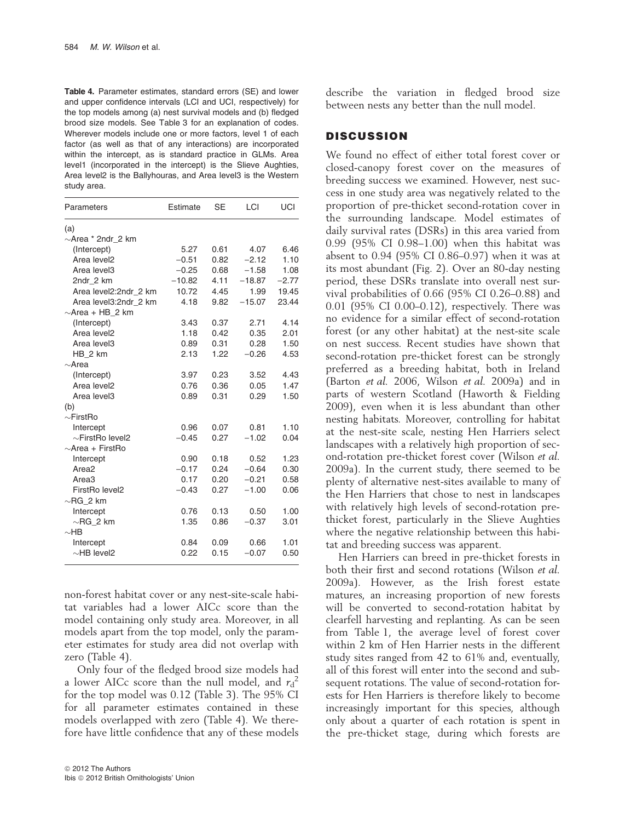Table 4. Parameter estimates, standard errors (SE) and lower and upper confidence intervals (LCI and UCI, respectively) for the top models among (a) nest survival models and (b) fledged brood size models. See Table 3 for an explanation of codes. Wherever models include one or more factors, level 1 of each factor (as well as that of any interactions) are incorporated within the intercept, as is standard practice in GLMs. Area level1 (incorporated in the intercept) is the Slieve Aughties, Area level2 is the Ballyhouras, and Area level3 is the Western study area.

| Parameters              | Estimate | <b>SE</b> | LCI      | UCI     |
|-------------------------|----------|-----------|----------|---------|
| (a)                     |          |           |          |         |
| $\sim$ Area * 2ndr_2 km |          |           |          |         |
| (Intercept)             | 5.27     | 0.61      | 4.07     | 6.46    |
| Area level2             | $-0.51$  | 0.82      | $-2.12$  | 1.10    |
| Area level3             | $-0.25$  | 0.68      | $-1.58$  | 1.08    |
| 2ndr 2 km               | $-10.82$ | 4.11      | $-18.87$ | $-2.77$ |
| Area level2:2ndr 2 km   | 10.72    | 4.45      | 1.99     | 19.45   |
| Area level3:2ndr 2 km   | 4.18     | 9.82      | $-15.07$ | 23.44   |
| $\sim$ Area + HB_2 km   |          |           |          |         |
| (Intercept)             | 3.43     | 0.37      | 2.71     | 4.14    |
| Area level2             | 1.18     | 0.42      | 0.35     | 2.01    |
| Area level3             | 0.89     | 0.31      | 0.28     | 1.50    |
| HB 2 km                 | 2.13     | 1.22      | $-0.26$  | 4.53    |
| $\sim$ Area             |          |           |          |         |
| (Intercept)             | 3.97     | 0.23      | 3.52     | 4.43    |
| Area level2             | 0.76     | 0.36      | 0.05     | 1.47    |
| Area level3             | 0.89     | 0.31      | 0.29     | 1.50    |
| (b)                     |          |           |          |         |
| $\sim$ FirstRo          |          |           |          |         |
| Intercept               | 0.96     | 0.07      | 0.81     | 1.10    |
| $\sim$ FirstRo level2   | $-0.45$  | 0.27      | $-1.02$  | 0.04    |
| $\sim$ Area + FirstRo   |          |           |          |         |
| Intercept               | 0.90     | 0.18      | 0.52     | 1.23    |
| Area <sub>2</sub>       | $-0.17$  | 0.24      | $-0.64$  | 0.30    |
| Area <sub>3</sub>       | 0.17     | 0.20      | $-0.21$  | 0.58    |
| FirstRo level2          | $-0.43$  | 0.27      | $-1.00$  | 0.06    |
| $\sim$ RG 2 km          |          |           |          |         |
| Intercept               | 0.76     | 0.13      | 0.50     | 1.00    |
| $\sim$ RG 2 km          | 1.35     | 0.86      | $-0.37$  | 3.01    |
| $\sim$ HB               |          |           |          |         |
| Intercept               | 0.84     | 0.09      | 0.66     | 1.01    |
| $\sim$ HB level2        | 0.22     | 0.15      | $-0.07$  | 0.50    |

non-forest habitat cover or any nest-site-scale habitat variables had a lower AICc score than the model containing only study area. Moreover, in all models apart from the top model, only the parameter estimates for study area did not overlap with zero (Table 4).

Only four of the fledged brood size models had a lower AICc score than the null model, and  $r_d^2$ for the top model was 0.12 (Table 3). The 95% CI for all parameter estimates contained in these models overlapped with zero (Table 4). We therefore have little confidence that any of these models describe the variation in fledged brood size between nests any better than the null model.

## **DISCUSSION**

We found no effect of either total forest cover or closed-canopy forest cover on the measures of breeding success we examined. However, nest success in one study area was negatively related to the proportion of pre-thicket second-rotation cover in the surrounding landscape. Model estimates of daily survival rates (DSRs) in this area varied from 0.99 (95% CI 0.98–1.00) when this habitat was absent to 0.94 (95% CI 0.86–0.97) when it was at its most abundant (Fig. 2). Over an 80-day nesting period, these DSRs translate into overall nest survival probabilities of 0.66 (95% CI 0.26–0.88) and 0.01 (95% CI 0.00–0.12), respectively. There was no evidence for a similar effect of second-rotation forest (or any other habitat) at the nest-site scale on nest success. Recent studies have shown that second-rotation pre-thicket forest can be strongly preferred as a breeding habitat, both in Ireland (Barton et al. 2006, Wilson et al. 2009a) and in parts of western Scotland (Haworth & Fielding 2009), even when it is less abundant than other nesting habitats. Moreover, controlling for habitat at the nest-site scale, nesting Hen Harriers select landscapes with a relatively high proportion of second-rotation pre-thicket forest cover (Wilson et al. 2009a). In the current study, there seemed to be plenty of alternative nest-sites available to many of the Hen Harriers that chose to nest in landscapes with relatively high levels of second-rotation prethicket forest, particularly in the Slieve Aughties where the negative relationship between this habitat and breeding success was apparent.

Hen Harriers can breed in pre-thicket forests in both their first and second rotations (Wilson et al. 2009a). However, as the Irish forest estate matures, an increasing proportion of new forests will be converted to second-rotation habitat by clearfell harvesting and replanting. As can be seen from Table 1, the average level of forest cover within 2 km of Hen Harrier nests in the different study sites ranged from 42 to 61% and, eventually, all of this forest will enter into the second and subsequent rotations. The value of second-rotation forests for Hen Harriers is therefore likely to become increasingly important for this species, although only about a quarter of each rotation is spent in the pre-thicket stage, during which forests are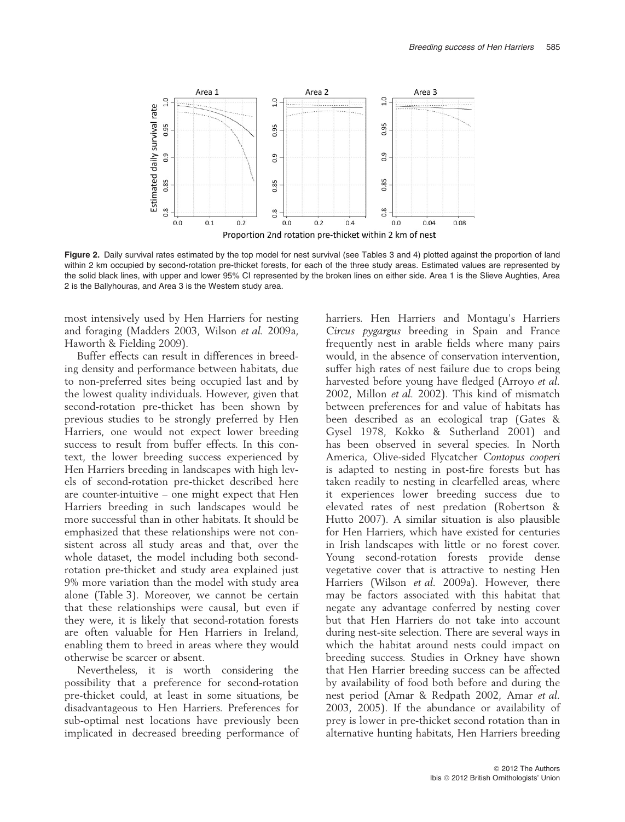

Figure 2. Daily survival rates estimated by the top model for nest survival (see Tables 3 and 4) plotted against the proportion of land within 2 km occupied by second-rotation pre-thicket forests, for each of the three study areas. Estimated values are represented by the solid black lines, with upper and lower 95% CI represented by the broken lines on either side. Area 1 is the Slieve Aughties, Area 2 is the Ballyhouras, and Area 3 is the Western study area.

most intensively used by Hen Harriers for nesting and foraging (Madders 2003, Wilson et al. 2009a, Haworth & Fielding 2009).

Buffer effects can result in differences in breeding density and performance between habitats, due to non-preferred sites being occupied last and by the lowest quality individuals. However, given that second-rotation pre-thicket has been shown by previous studies to be strongly preferred by Hen Harriers, one would not expect lower breeding success to result from buffer effects. In this context, the lower breeding success experienced by Hen Harriers breeding in landscapes with high levels of second-rotation pre-thicket described here are counter-intuitive – one might expect that Hen Harriers breeding in such landscapes would be more successful than in other habitats. It should be emphasized that these relationships were not consistent across all study areas and that, over the whole dataset, the model including both secondrotation pre-thicket and study area explained just 9% more variation than the model with study area alone (Table 3). Moreover, we cannot be certain that these relationships were causal, but even if they were, it is likely that second-rotation forests are often valuable for Hen Harriers in Ireland, enabling them to breed in areas where they would otherwise be scarcer or absent.

Nevertheless, it is worth considering the possibility that a preference for second-rotation pre-thicket could, at least in some situations, be disadvantageous to Hen Harriers. Preferences for sub-optimal nest locations have previously been implicated in decreased breeding performance of harriers. Hen Harriers and Montagu's Harriers Circus pygargus breeding in Spain and France frequently nest in arable fields where many pairs would, in the absence of conservation intervention, suffer high rates of nest failure due to crops being harvested before young have fledged (Arroyo et al. 2002, Millon et al. 2002). This kind of mismatch between preferences for and value of habitats has been described as an ecological trap (Gates & Gysel 1978, Kokko & Sutherland 2001) and has been observed in several species. In North America, Olive-sided Flycatcher Contopus cooperi is adapted to nesting in post-fire forests but has taken readily to nesting in clearfelled areas, where it experiences lower breeding success due to elevated rates of nest predation (Robertson & Hutto 2007). A similar situation is also plausible for Hen Harriers, which have existed for centuries in Irish landscapes with little or no forest cover. Young second-rotation forests provide dense vegetative cover that is attractive to nesting Hen Harriers (Wilson et al. 2009a). However, there may be factors associated with this habitat that negate any advantage conferred by nesting cover but that Hen Harriers do not take into account during nest-site selection. There are several ways in which the habitat around nests could impact on breeding success. Studies in Orkney have shown that Hen Harrier breeding success can be affected by availability of food both before and during the nest period (Amar & Redpath 2002, Amar et al. 2003, 2005). If the abundance or availability of prey is lower in pre-thicket second rotation than in alternative hunting habitats, Hen Harriers breeding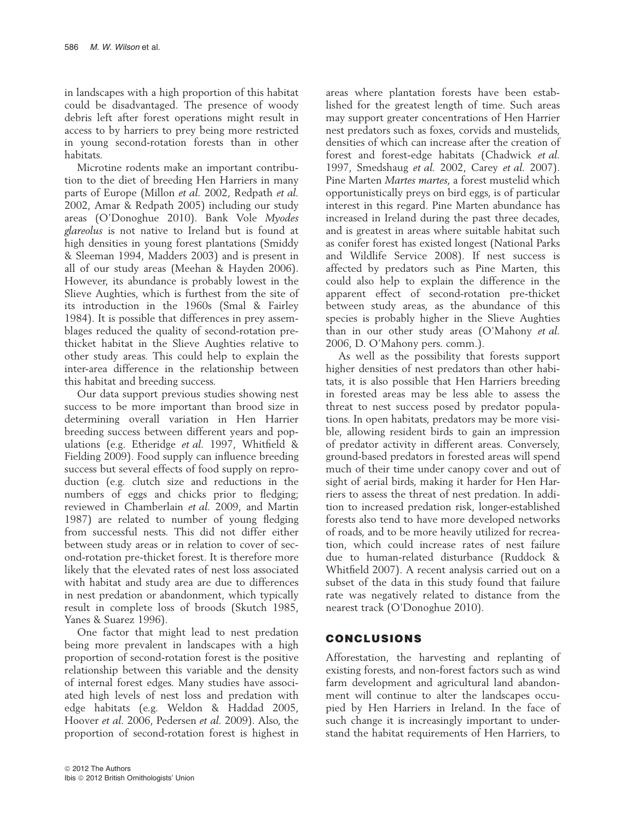in landscapes with a high proportion of this habitat could be disadvantaged. The presence of woody debris left after forest operations might result in access to by harriers to prey being more restricted in young second-rotation forests than in other habitats.

Microtine rodents make an important contribution to the diet of breeding Hen Harriers in many parts of Europe (Millon et al. 2002, Redpath et al. 2002, Amar & Redpath 2005) including our study areas (O'Donoghue 2010). Bank Vole Myodes glareolus is not native to Ireland but is found at high densities in young forest plantations (Smiddy & Sleeman 1994, Madders 2003) and is present in all of our study areas (Meehan & Hayden 2006). However, its abundance is probably lowest in the Slieve Aughties, which is furthest from the site of its introduction in the 1960s (Smal & Fairley 1984). It is possible that differences in prey assemblages reduced the quality of second-rotation prethicket habitat in the Slieve Aughties relative to other study areas. This could help to explain the inter-area difference in the relationship between this habitat and breeding success.

Our data support previous studies showing nest success to be more important than brood size in determining overall variation in Hen Harrier breeding success between different years and populations (e.g. Etheridge et al. 1997, Whitfield & Fielding 2009). Food supply can influence breeding success but several effects of food supply on reproduction (e.g. clutch size and reductions in the numbers of eggs and chicks prior to fledging; reviewed in Chamberlain et al. 2009, and Martin 1987) are related to number of young fledging from successful nests. This did not differ either between study areas or in relation to cover of second-rotation pre-thicket forest. It is therefore more likely that the elevated rates of nest loss associated with habitat and study area are due to differences in nest predation or abandonment, which typically result in complete loss of broods (Skutch 1985, Yanes & Suarez 1996).

One factor that might lead to nest predation being more prevalent in landscapes with a high proportion of second-rotation forest is the positive relationship between this variable and the density of internal forest edges. Many studies have associated high levels of nest loss and predation with edge habitats (e.g. Weldon & Haddad 2005, Hoover et al. 2006, Pedersen et al. 2009). Also, the proportion of second-rotation forest is highest in areas where plantation forests have been established for the greatest length of time. Such areas may support greater concentrations of Hen Harrier nest predators such as foxes, corvids and mustelids, densities of which can increase after the creation of forest and forest-edge habitats (Chadwick et al. 1997, Smedshaug et al. 2002, Carey et al. 2007). Pine Marten Martes martes, a forest mustelid which opportunistically preys on bird eggs, is of particular interest in this regard. Pine Marten abundance has increased in Ireland during the past three decades, and is greatest in areas where suitable habitat such as conifer forest has existed longest (National Parks and Wildlife Service 2008). If nest success is affected by predators such as Pine Marten, this could also help to explain the difference in the apparent effect of second-rotation pre-thicket between study areas, as the abundance of this species is probably higher in the Slieve Aughties than in our other study areas (O'Mahony et al. 2006, D. O'Mahony pers. comm.).

As well as the possibility that forests support higher densities of nest predators than other habitats, it is also possible that Hen Harriers breeding in forested areas may be less able to assess the threat to nest success posed by predator populations. In open habitats, predators may be more visible, allowing resident birds to gain an impression of predator activity in different areas. Conversely, ground-based predators in forested areas will spend much of their time under canopy cover and out of sight of aerial birds, making it harder for Hen Harriers to assess the threat of nest predation. In addition to increased predation risk, longer-established forests also tend to have more developed networks of roads, and to be more heavily utilized for recreation, which could increase rates of nest failure due to human-related disturbance (Ruddock & Whitfield 2007). A recent analysis carried out on a subset of the data in this study found that failure rate was negatively related to distance from the nearest track (O'Donoghue 2010).

## CONCLUSIONS

Afforestation, the harvesting and replanting of existing forests, and non-forest factors such as wind farm development and agricultural land abandonment will continue to alter the landscapes occupied by Hen Harriers in Ireland. In the face of such change it is increasingly important to understand the habitat requirements of Hen Harriers, to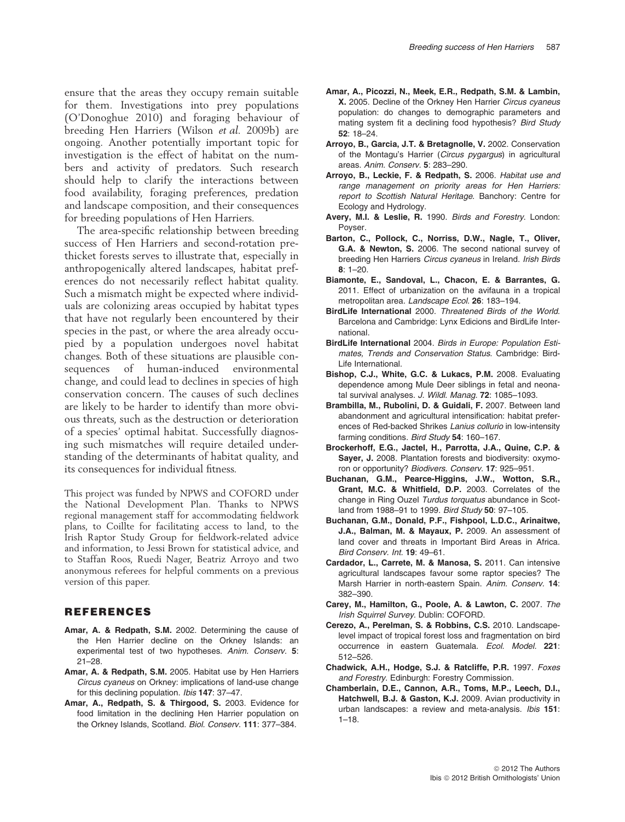ensure that the areas they occupy remain suitable for them. Investigations into prey populations (O'Donoghue 2010) and foraging behaviour of breeding Hen Harriers (Wilson et al. 2009b) are ongoing. Another potentially important topic for investigation is the effect of habitat on the numbers and activity of predators. Such research should help to clarify the interactions between food availability, foraging preferences, predation and landscape composition, and their consequences

for breeding populations of Hen Harriers. The area-specific relationship between breeding success of Hen Harriers and second-rotation prethicket forests serves to illustrate that, especially in anthropogenically altered landscapes, habitat preferences do not necessarily reflect habitat quality. Such a mismatch might be expected where individuals are colonizing areas occupied by habitat types that have not regularly been encountered by their species in the past, or where the area already occupied by a population undergoes novel habitat changes. Both of these situations are plausible consequences of human-induced environmental change, and could lead to declines in species of high conservation concern. The causes of such declines are likely to be harder to identify than more obvious threats, such as the destruction or deterioration of a species' optimal habitat. Successfully diagnosing such mismatches will require detailed understanding of the determinants of habitat quality, and its consequences for individual fitness.

This project was funded by NPWS and COFORD under the National Development Plan. Thanks to NPWS regional management staff for accommodating fieldwork plans, to Coillte for facilitating access to land, to the Irish Raptor Study Group for fieldwork-related advice and information, to Jessi Brown for statistical advice, and to Staffan Roos, Ruedi Nager, Beatriz Arroyo and two anonymous referees for helpful comments on a previous version of this paper.

#### REFERENCES

- Amar, A. & Redpath, S.M. 2002. Determining the cause of the Hen Harrier decline on the Orkney Islands: an experimental test of two hypotheses. Anim. Conserv. 5: 21–28.
- Amar, A. & Redpath, S.M. 2005. Habitat use by Hen Harriers Circus cyaneus on Orkney: implications of land-use change for this declining population. Ibis 147: 37–47.
- Amar, A., Redpath, S. & Thirgood, S. 2003. Evidence for food limitation in the declining Hen Harrier population on the Orkney Islands, Scotland. Biol. Conserv. 111: 377–384.
- Amar, A., Picozzi, N., Meek, E.R., Redpath, S.M. & Lambin, X. 2005. Decline of the Orkney Hen Harrier Circus cyaneus population: do changes to demographic parameters and mating system fit a declining food hypothesis? Bird Study 52: 18–24.
- Arroyo, B., Garcia, J.T. & Bretagnolle, V. 2002. Conservation of the Montagu's Harrier (Circus pygargus) in agricultural areas. Anim. Conserv. 5: 283–290.
- Arroyo, B., Leckie, F. & Redpath, S. 2006. Habitat use and range management on priority areas for Hen Harriers: report to Scottish Natural Heritage. Banchory: Centre for Ecology and Hydrology.
- Avery, M.I. & Leslie, R. 1990. Birds and Forestry. London: Poyser.
- Barton, C., Pollock, C., Norriss, D.W., Nagle, T., Oliver, G.A. & Newton, S. 2006. The second national survey of breeding Hen Harriers Circus cyaneus in Ireland. Irish Birds  $8:1 - 20$
- Biamonte, E., Sandoval, L., Chacon, E. & Barrantes, G. 2011. Effect of urbanization on the avifauna in a tropical metropolitan area. Landscape Ecol. 26: 183–194.
- BirdLife International 2000. Threatened Birds of the World. Barcelona and Cambridge: Lynx Edicions and BirdLife International.
- BirdLife International 2004. Birds in Europe: Population Estimates, Trends and Conservation Status. Cambridge: Bird-Life International.
- Bishop, C.J., White, G.C. & Lukacs, P.M. 2008. Evaluating dependence among Mule Deer siblings in fetal and neonatal survival analyses. J. Wildl. Manag. 72: 1085-1093.
- Brambilla, M., Rubolini, D. & Guidali, F. 2007. Between land abandonment and agricultural intensification: habitat preferences of Red-backed Shrikes Lanius collurio in low-intensity farming conditions. Bird Study 54: 160-167.
- Brockerhoff, E.G., Jactel, H., Parrotta, J.A., Quine, C.P. & Sayer, J. 2008. Plantation forests and biodiversity: oxymoron or opportunity? Biodivers. Conserv. 17: 925–951.
- Buchanan, G.M., Pearce-Higgins, J.W., Wotton, S.R., Grant, M.C. & Whitfield, D.P. 2003. Correlates of the change in Ring Ouzel Turdus torquatus abundance in Scotland from 1988–91 to 1999. Bird Study 50: 97–105.
- Buchanan, G.M., Donald, P.F., Fishpool, L.D.C., Arinaitwe, J.A., Balman, M. & Mayaux, P. 2009. An assessment of land cover and threats in Important Bird Areas in Africa. Bird Conserv. Int. 19: 49–61.
- Cardador, L., Carrete, M. & Manosa, S. 2011. Can intensive agricultural landscapes favour some raptor species? The Marsh Harrier in north-eastern Spain. Anim. Conserv. 14: 382–390.
- Carey, M., Hamilton, G., Poole, A. & Lawton, C. 2007. The Irish Squirrel Survey. Dublin: COFORD.
- Cerezo, A., Perelman, S. & Robbins, C.S. 2010. Landscapelevel impact of tropical forest loss and fragmentation on bird occurrence in eastern Guatemala. Ecol. Model. 221: 512–526.
- Chadwick, A.H., Hodge, S.J. & Ratcliffe, P.R. 1997. Foxes and Forestry. Edinburgh: Forestry Commission.
- Chamberlain, D.E., Cannon, A.R., Toms, M.P., Leech, D.I., Hatchwell, B.J. & Gaston, K.J. 2009. Avian productivity in urban landscapes: a review and meta-analysis. Ibis 151: 1–18.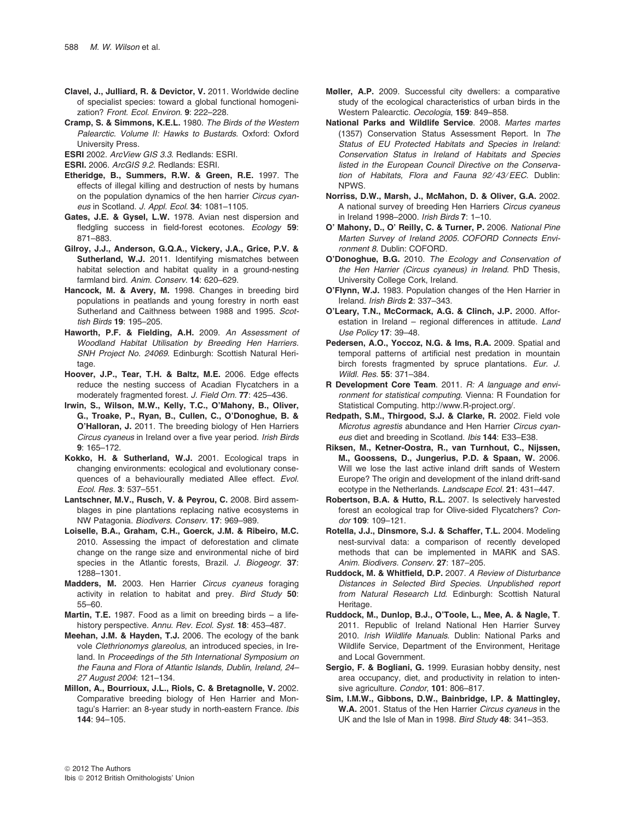- Clavel, J., Julliard, R. & Devictor, V. 2011. Worldwide decline of specialist species: toward a global functional homogenization? Front. Ecol. Environ. 9: 222–228.
- Cramp, S. & Simmons, K.E.L. 1980. The Birds of the Western Palearctic. Volume II: Hawks to Bustards. Oxford: Oxford University Press.
- ESRI 2002. ArcView GIS 3.3. Redlands: ESRI.

ESRI. 2006. ArcGIS 9.2. Redlands: ESRI.

- Etheridge, B., Summers, R.W. & Green, R.E. 1997. The effects of illegal killing and destruction of nests by humans on the population dynamics of the hen harrier Circus cyaneus in Scotland. J. Appl. Ecol. 34: 1081–1105.
- Gates, J.E. & Gysel, L.W. 1978. Avian nest dispersion and fledgling success in field-forest ecotones. Ecology 59: 871–883.
- Gilroy, J.J., Anderson, G.Q.A., Vickery, J.A., Grice, P.V. & Sutherland, W.J. 2011. Identifying mismatches between habitat selection and habitat quality in a ground-nesting farmland bird. Anim. Conserv. 14: 620-629.
- Hancock, M. & Avery, M. 1998. Changes in breeding bird populations in peatlands and young forestry in north east Sutherland and Caithness between 1988 and 1995. Scottish Birds 19: 195–205.
- Haworth, P.F. & Fielding, A.H. 2009. An Assessment of Woodland Habitat Utilisation by Breeding Hen Harriers. SNH Project No. 24069. Edinburgh: Scottish Natural Heritage.
- Hoover, J.P., Tear, T.H. & Baltz, M.E. 2006. Edge effects reduce the nesting success of Acadian Flycatchers in a moderately fragmented forest. J. Field Orn. 77: 425–436.
- Irwin, S., Wilson, M.W., Kelly, T.C., O'Mahony, B., Oliver, G., Troake, P., Ryan, B., Cullen, C., O'Donoghue, B. & O'Halloran, J. 2011. The breeding biology of Hen Harriers Circus cyaneus in Ireland over a five year period. Irish Birds 9: 165–172.
- Kokko, H. & Sutherland, W.J. 2001. Ecological traps in changing environments: ecological and evolutionary consequences of a behaviourally mediated Allee effect. Evol. Ecol. Res. 3: 537–551.
- Lantschner, M.V., Rusch, V. & Peyrou, C. 2008. Bird assemblages in pine plantations replacing native ecosystems in NW Patagonia. Biodivers. Conserv. 17: 969–989.
- Loiselle, B.A., Graham, C.H., Goerck, J.M. & Ribeiro, M.C. 2010. Assessing the impact of deforestation and climate change on the range size and environmental niche of bird species in the Atlantic forests, Brazil. J. Biogeogr. 37: 1288–1301.
- Madders, M. 2003. Hen Harrier Circus cyaneus foraging activity in relation to habitat and prey. Bird Study 50: 55–60.
- Martin, T.E. 1987. Food as a limit on breeding birds a lifehistory perspective. Annu. Rev. Ecol. Syst. 18: 453-487.
- Meehan, J.M. & Hayden, T.J. 2006. The ecology of the bank vole Clethrionomys glareolus, an introduced species, in Ireland. In Proceedings of the 5th International Symposium on the Fauna and Flora of Atlantic Islands, Dublin, Ireland, 24– 27 August 2004: 121–134.
- Millon, A., Bourrioux, J.L., Riols, C. & Bretagnolle, V. 2002. Comparative breeding biology of Hen Harrier and Montagu's Harrier: an 8-year study in north-eastern France. Ibis 144: 94–105.
- Møller, A.P. 2009. Successful city dwellers: a comparative study of the ecological characteristics of urban birds in the Western Palearctic. Oecologia, 159: 849–858.
- National Parks and Wildlife Service. 2008. Martes martes (1357) Conservation Status Assessment Report. In The Status of EU Protected Habitats and Species in Ireland: Conservation Status in Ireland of Habitats and Species listed in the European Council Directive on the Conservation of Habitats. Flora and Fauna 92/43/EEC. Dublin: NPWS.
- Norriss, D.W., Marsh, J., McMahon, D. & Oliver, G.A. 2002. A national survey of breeding Hen Harriers Circus cyaneus in Ireland 1998–2000. Irish Birds 7: 1–10.
- O' Mahony, D., O' Reilly, C. & Turner, P. 2006. National Pine Marten Survey of Ireland 2005. COFORD Connects Environment 8. Dublin: COFORD.
- O'Donoghue, B.G. 2010. The Ecology and Conservation of the Hen Harrier (Circus cyaneus) in Ireland. PhD Thesis, University College Cork, Ireland.
- O'Flynn, W.J. 1983. Population changes of the Hen Harrier in Ireland. Irish Birds 2: 337-343.
- O'Leary, T.N., McCormack, A.G. & Clinch, J.P. 2000. Afforestation in Ireland – regional differences in attitude. Land Use Policy 17: 39–48.
- Pedersen, A.O., Yoccoz, N.G. & Ims, R.A. 2009. Spatial and temporal patterns of artificial nest predation in mountain birch forests fragmented by spruce plantations. Eur. J. Wildl. Res. 55: 371–384.
- R Development Core Team. 2011. R: A language and environment for statistical computing. Vienna: R Foundation for Statistical Computing. http://www.R-project.org/.
- Redpath, S.M., Thirgood, S.J. & Clarke, R. 2002. Field vole Microtus agrestis abundance and Hen Harrier Circus cyaneus diet and breeding in Scotland. Ibis 144: E33-E38.
- Riksen, M., Ketner-Oostra, R., van Turnhout, C., Nijssen, M., Goossens, D., Jungerius, P.D. & Spaan, W. 2006. Will we lose the last active inland drift sands of Western Europe? The origin and development of the inland drift-sand ecotype in the Netherlands. Landscape Ecol. 21: 431–447.
- Robertson, B.A. & Hutto, R.L. 2007. Is selectively harvested forest an ecological trap for Olive-sided Flycatchers? Condor 109: 109–121.
- Rotella, J.J., Dinsmore, S.J. & Schaffer, T.L. 2004. Modeling nest-survival data: a comparison of recently developed methods that can be implemented in MARK and SAS. Anim. Biodivers. Conserv. 27: 187–205.
- Ruddock, M. & Whitfield, D.P. 2007. A Review of Disturbance Distances in Selected Bird Species. Unpublished report from Natural Research Ltd. Edinburgh: Scottish Natural Heritage.
- Ruddock, M., Dunlop, B.J., O'Toole, L., Mee, A. & Nagle, T. 2011. Republic of Ireland National Hen Harrier Survey 2010. Irish Wildlife Manuals. Dublin: National Parks and Wildlife Service, Department of the Environment, Heritage and Local Government.
- Sergio, F. & Bogliani, G. 1999. Eurasian hobby density, nest area occupancy, diet, and productivity in relation to intensive agriculture. Condor, 101: 806–817.
- Sim, I.M.W., Gibbons, D.W., Bainbridge, I.P. & Mattingley, W.A. 2001. Status of the Hen Harrier Circus cyaneus in the UK and the Isle of Man in 1998. Bird Study 48: 341–353.